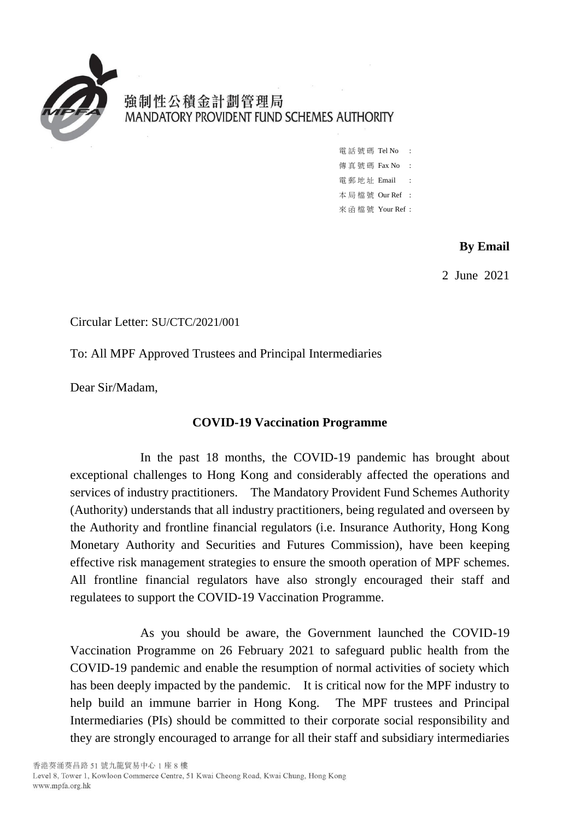

強制性公積金計劃管理局 MANDATORY PROVIDENT FUND SCHEMES AUTHORITY

> 電 話 號 碼 Tel No : 傳 真 號 碼 Fax No : 雷 郵 地 址 Email : 本 局 檔 號 Our Ref : 來 函 檔 號 Your Ref :

## **By Email**

2 June 2021

Circular Letter: SU/CTC/2021/001

To: All MPF Approved Trustees and Principal Intermediaries

Dear Sir/Madam,

## **COVID-19 Vaccination Programme**

In the past 18 months, the COVID-19 pandemic has brought about exceptional challenges to Hong Kong and considerably affected the operations and services of industry practitioners. The Mandatory Provident Fund Schemes Authority (Authority) understands that all industry practitioners, being regulated and overseen by the Authority and frontline financial regulators (i.e. Insurance Authority, Hong Kong Monetary Authority and Securities and Futures Commission), have been keeping effective risk management strategies to ensure the smooth operation of MPF schemes. All frontline financial regulators have also strongly encouraged their staff and regulatees to support the COVID-19 Vaccination Programme.

As you should be aware, the Government launched the COVID-19 Vaccination Programme on 26 February 2021 to safeguard public health from the COVID-19 pandemic and enable the resumption of normal activities of society which has been deeply impacted by the pandemic. It is critical now for the MPF industry to help build an immune barrier in Hong Kong. The MPF trustees and Principal Intermediaries (PIs) should be committed to their corporate social responsibility and they are strongly encouraged to arrange for all their staff and subsidiary intermediaries